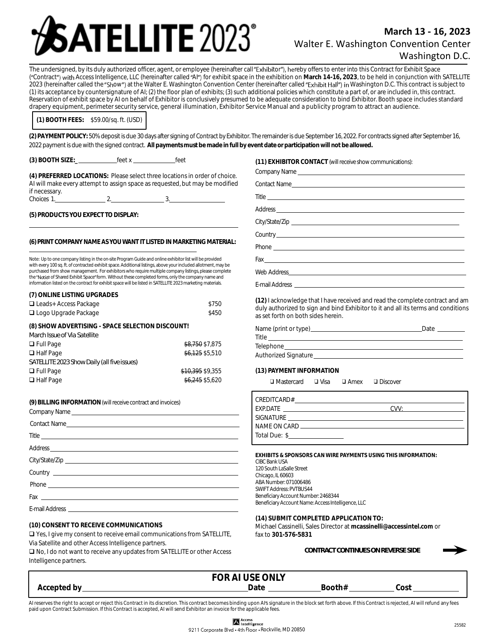# **ATELLITE 2023**°

## **March 13 - 16, 2023** Walter E. Washington Convention Center Washington D.C.

The undersigned, by its duly authorized officer, agent, or employee (hereinafter call "Exhibitor"), hereby offers to enter into this Contract for Exhibit Space ("Contract") with Access Intelligence, LLC (hereinafter called "AI") for exhibit space in the exhibition on March 14-16, 2023, to be held in conjunction with SATELLITE 2023 (hereinafter called the "Show") at the Walter E. Washington Convention Center (hereinafter called "Exhibit Hall") in Washington D.C. This contract is subject to (1) its acceptance by countersignature of AI; (2) the floor plan of exhibits; (3) such additional policies which constitute a part of, or are included in, this contract. Reservation of exhibit space by AI on behalf of Exhibitor is conclusively presumed to be adequate consideration to bind Exhibitor. Booth space includes standard drapery equipment, perimeter security service, general illumination, Exhibitor Service Manual and a publicity program to attract an audience.

**(1) BOOTH FEES***:* \$59.00/sq. ft. (USD)

**(2) PAYMENT POLICY:** 50% deposit is due 30 days after signing of Contract by Exhibitor. The remainder is due September 16, 2022. For contracts signed after September 16, 2022 payment is due with the signed contract. **Allpayments must be made in full by event date or participation will not be allowed.**

**(3) BOOTH SIZE:\_** feet x feet

**(4) PREFERRED LOCATIONS:** Please select three locations in order of choice. AI will make every attempt to assign space as requested, but may be modified if necessary.<br>Choices 1. 2. 3.

**(5) PRODUCTSYOUEXPECTTO DISPLAY:**

#### **(6)PRINTCOMPANYNAMEASYOUWANT ITLISTEDINMARKETINGMATERIAL:**

Note: Up to one company listing in the on-site Program Guide and online exhibitor list will be provided with every 100 sq. ft. of contracted exhibit space. Additional listings, above your included allotment, may be purchased from show management. For exhibitors who require multiple company listings, please complete the "Notice of Shared Exhibit Space" form. Without these completed forms, only the company name and information listed on the contract for exhibit space will be listed in SATELLITE 2023 marketing materials.

| (7) ONLINE LISTING UPGRADES                      |                  |  |
|--------------------------------------------------|------------------|--|
| $\Box$ Leads+ Access Package                     | \$750            |  |
| $\Box$ Logo Upgrade Package                      | \$450            |  |
| (8) SHOW ADVERTISING - SPACE SELECTION DISCOUNT! |                  |  |
| March Issue of Via Satellite                     |                  |  |
| $\Box$ Full Page                                 | \$8.750 \$7,875  |  |
| $\Box$ Half Page                                 | \$6.125 \$5.510  |  |
| SATELLITE 2023 Show Daily (all five issues)      |                  |  |
| $\Box$ Full Page                                 | \$10.395 \$9.355 |  |
| $\Box$ Half Page                                 | \$6.245 \$5.620  |  |
|                                                  |                  |  |

**(9) BILLINGINFORMATION**(willreceive contract andinvoices) Company Name

**(10) CONSENT TO RECEIVE COMMUNICATIONS**

❑ Yes, I give my consent to receive email communications from SATELLITE, Via Satellite and other Access Intelligence partners.

❑ No, I do not want to receive any updates from SATELLITE or other Access Intelligence partners.

**(11) EXHIBITOR CONTACT** (willreceive show communications):

| $\begin{picture}(180,10) \put(0,0){\vector(1,0){100}} \put(15,0){\vector(1,0){100}} \put(15,0){\vector(1,0){100}} \put(15,0){\vector(1,0){100}} \put(15,0){\vector(1,0){100}} \put(15,0){\vector(1,0){100}} \put(15,0){\vector(1,0){100}} \put(15,0){\vector(1,0){100}} \put(15,0){\vector(1,0){100}} \put(15,0){\vector(1,0){100}} \put(15,0){\vector(1,0){100}}$ |
|--------------------------------------------------------------------------------------------------------------------------------------------------------------------------------------------------------------------------------------------------------------------------------------------------------------------------------------------------------------------|
|                                                                                                                                                                                                                                                                                                                                                                    |
|                                                                                                                                                                                                                                                                                                                                                                    |
|                                                                                                                                                                                                                                                                                                                                                                    |

**(12)** I acknowledge that I have received and read the complete contract and am duly authorized to sign and bind Exhibitor to it and all its terms and conditions as set forth on both sides herein.

| Name (print or type)        | Date |
|-----------------------------|------|
| Title                       |      |
| Telephone                   |      |
| <b>Authorized Signature</b> |      |

**(13) PAYMENT INFORMATION**

❑ Mastercard ❑ Visa ❑ Amex ❑ Discover

| CREDITCARD#                                                                                                   |        |
|---------------------------------------------------------------------------------------------------------------|--------|
| EXP.DATE THE STATE STATE STATES IN THE STATE OF THE STATE OF THE STATE OF THE STATE OF THE STATE OF THE STATE | (11/1) |
| SIGNATURE                                                                                                     |        |
|                                                                                                               |        |
| Total Due: \$                                                                                                 |        |

**EXHIBITS & SPONSORS CAN WIRE PAYMENTS USING THIS INFORMATION:** CIBC Bank USA 120 South LaSalle Street Chicago, IL 60603 ABA Number: 071006486 SWIFT Address: PVTBUS44 Beneficiary Account Number: 2468344 Beneficiary Account Name: Access Intelligence, LLC

**(14) SUBMIT COMPLETED APPLICATION TO:** Michael Cassinelli, Sales Director at **mcassinelli@accessintel.com** or fax to **301-576-5831**

| CONTRACT CONTINUES ON REVERSE SIDE |  |
|------------------------------------|--|
|                                    |  |



**FOR AI USE ONLY Accepted by Date Booth# Cost** 

AI reserves the right to accept or reject this Contract in its discretion. This contract becomes binding upon AIs signature in the block set forth above. If this Contract is rejected, AI will refund any fees paid upon Contract Submission. If this Contract is accepted, AI will send Exhibitor an invoice for the applicable fees.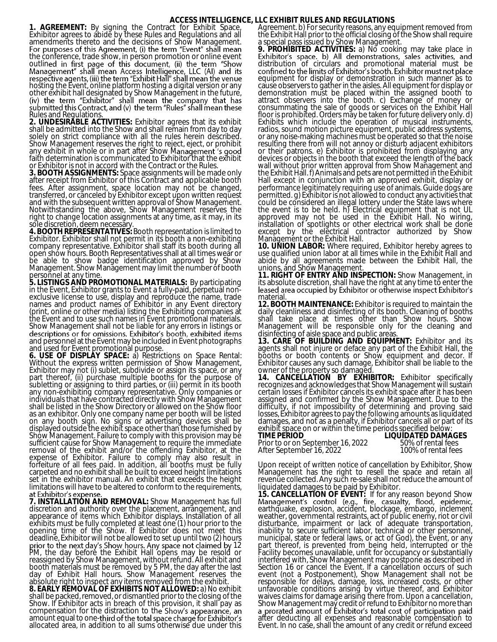### **ACCESS INTELLIGENCE, LLC EXHIBIT RULES AND REGULATIONS**

**1. AGREEMENT:** By signing the Contract for Exhibit Space, Exhibitor agrees to abide by these Rules and Regulations and all amendments thereto and the decisions of Show Management. the conference, trade show, in person promotion or online event outlin hosting the Event, online platform hosting a digital version or any other exhibit hall designated by Show Management in the future, Rules and Regulations.

**2. UNDESIRABLE ACTIVITIES:** Exhibitor agrees that its exhibit shall be admitted into the Show and shall remain from day to day solely on strict compliance with all the rules herein described. Show Management reserves the right to reject, eject, or prohibit any exhibit in whole or in part after Show M faith determination is communicated to Exhibitor that the exhibit or Exhibitor is not in accord with the Contract or the Rules.

**3. BOOTH ASSIGNMENTS:** Space assignments will be made only after receipt from Exhibitor of this Contract and applicable booth fees. After assignment, space location may not be changed, transferred, or canceled by Exhibitor except upon written request and with the subsequent written approval of Show Management. Notwithstanding the above, Show Management reserves the right to change location assignments at any time, as it may, in its sole discretion, deem necessary.

**4. BOOTH REPRESENTATIVES:** Booth representation is limited to Exhibitor. Exhibitor shall not permit in its booth a non-exhibiting company representative. Exhibitor shall staff its booth during all open show hours. Booth Representatives shall at all times wear or be able to show badge identification approved by Show Management. Show Manăgement may limit the number of booth personnel at any time.

**5. LISTINGS AND PROMOTIONAL MATERIALS:** By participating in the Event, Exhibitor grants to Event a fully-paid, perpetual nonexclusive license to use, display and reproduce the name, trade names and product names of Exhibitor in any Event directory (print, online or other media) listing the Exhibiting companies at the Event and to use such names in Event promotional materials. Show Management shall not be liable for any errors in listings or descriptions or for omissions. Exhibitor's booth, exhibited items<br>and personnel at the Event may be included in Event photographs and used for Event promotional purpose.

**6. USE OF DISPLAY SPACE:** a) Restrictions on Space Rental: Without the express written permission of Show Management, Exhibitor may not (i) sublet, subdivide or assign its space, or any part thereof, (ii) purchase multiple booths for the purpose of subletting or assigning to third parties, or (iii) permit in its booth any non-exhibiting company representative. Only companies or individuals that have contracted directly with Show Management shall be listed in the Show Directory or allowed on the Show floor as an exhibitor. Only one company name per booth will be listed on any booth sign. No signs or advertising devices shall be displayed outside the exhibit space other than those furnished by Show Management. Failure to comply with this provision may be sufficient cause for Show Management to require the immediate removal of the exhibit and/or the offending Exhibitor, at the expense of Exhibitor. Failure to comply may also result in forfeiture of all fees paid. In addition, all booths must be fully carpeted and no exhibit shall be built to exceed height limitations set in the exhibitor manual. An exhibit that exceeds the height limitations will have to be altered to conform to the requirements,<br>at Exhibitor's expense.

**7. INSTALLATION AND REMOVAL:** Show Management has full discretion and authority over the placement, arrangement, and appearance of items which Exhibitor displays. Installation of all exhibits must be fully completed at least one (1) hour prior to the opening time of the Show. If Exhibitor does not meet this deadline, Exhibitor will not be allowed to set up until two (2) hours 12 PM, the day before the Exhibit Hall opens may be resold or reassigned by Show Management, without refund. All exhibit and booth materials must be removed by 5 PM, the day after the last day of Exhibit Hall hours. Show Management reserves the absolute right to inspect any items removed from the exhibit. **8. EARLY REMOVAL OF EXHIBITS NOT ALLOWED:** a) No exhibit shall be packed, removed, or dismantled prior to the closing of the

Show. If Exhibitor acts in breach of this provision, it shall pay as compensation for the distraction to th amount equal to one-third of the total space charge for Exhibitor's allocated area, in addition to all sums otherwise due under this

Agreement. b) For security reasons, any equipment removed from the Exhibit Hall prior to the official closing of the Show shall require a special pass issued by Show Management.

**9. PROHIBITED ACTIVITIES:** a) No cooking may take place in Exhibitor's space. b) All demonstrations, sales activities, and distribution of circulars and promotional material must be confined to the limits of Exhibitor's booth. Exhibitor must not place equipment for display or demonstration in such manner as to cause observers to gather in the aisles. All equipment for display or demonstration must be placed within the assigned booth to attract observers into the booth. c) Exchange of money or consummating the sale of goods or services on the Exhibit Hall floor is prohibited. Orders may be taken for future delivery only. d) Exhibits which include the operation of musical instruments, radios, sound motion picture equipment, public address systems, or any noise-making machines must be operated so that the noise resulting there from will not annoy or disturb adjacent exhibitors or their patrons. e) Exhibitor is prohibited from displaying any devices or objects in the booth that exceed the length of the back wall without prior written approval from Show Management and the Exhibit Hall. f) Animals and pets are not permitted in the Exhibit Hall except in conjunction with an approved exhibit, display or performance legitimately requiring use of animals. Guide dogs are permitted. g) Exhibitor is not allowed to conduct any activities that could be considered an illegal lottery under the State laws where the event is to be held. h) Electrical equipment that is not UL approved may not be used in the Exhibit Hall. No wiring, installation of spotlights or other electrical work shall be done except by the electrical contractor authorized by Show Management or the Exhibit Hall.

**10. UNION LABOR:** Where required, Exhibitor hereby agrees to use qualified union labor at all times while in the Exhibit Hall and abide by all agreements made between the Exhibit Hall, the unions, and Show Management.

**11. RIGHT OF ENTRY AND INSPECTION:** Show Management, in its absolute discretion, shall have the right at any time to enter the leased area occupied by Exhibitor or otherwise inspect Exhibitor's material

**12. BOOTH MAINTENANCE:** Exhibitor is required to maintain the daily cleanliness and disinfecting of its booth. Cleaning of booths shall take place at times other than Show hours. Show Management will be responsible only for the cleaning and disinfecting of aisle space and public areas.

**13. CARE OF BUILDING AND EQUIPMENT:** Exhibitor and its agents shall not injure or deface any part of the Exhibit Hall, the booths or booth contents or Show equipment and decor. If Exhibitor causes any such damage, Exhibitor shall be liable to the owner of the property so damaged.

**14. CANCELLATION BY EXHIBITOR:** Exhibitor specifically recognizes and acknowledges that Show Management will sustain certain losses if Exhibitor cancels its exhibit space after it has been assigned and confirmed by the Show Management. Due to the difficulty, if not impossibility of determining and proving said losses, Exhibitor agrees to pay the following amounts as liquidated damages, and not as a penalty, if Exhibitor cancels all or part of its exhibit space on or within the time periods specified below:

**TIME PERIOD LIQUIDATED DAMAGES**  Prior to or on September 16, 2022 50% of rental fees<br>After September 16, 2022 100% of rental fees After September 16, 2022

Upon receipt of written notice of cancellation by Exhibitor, Show Management has the right to resell the space and retain all revenue collected. Any such re-sale shall not reduce the amount of liquidated damages to be paid by Exhibitor.

**15. CANCELLATION OF EVENT:** If for any reason beyond Show earthquake, explosion, accident, blockage, embargo, inclement weather, governmental restraints, act of public enemy, riot or civil disturbance, impairment or lack of adequate transportation, inability to secure sufficient labor, technical or other personnel, municipal, state or federal laws, or act of God), the Event, or any part thereof, is prevented from being held, interrupted or the Facility becomes unavailable, unfit for occupancy or substantially interfered with, Show Management may postpone as described in Section 16 or cancel the Event. If a cancellation occurs of such event (not a Postponement), Show Management shall not be responsible for delays, damage, loss, increased costs, or other unfavorable conditions arising by virtue thereof, and Exhibitor waives claims for damage arising there from. Upon a cancellation, Show Management may credit or refund to Exhibitor no more than<br>a prorated amount of Exhibitor's total cost of participation paid after deducting all expenses and reasonable compensation to Event. In no case, shall the amount of any credit or refund exceed